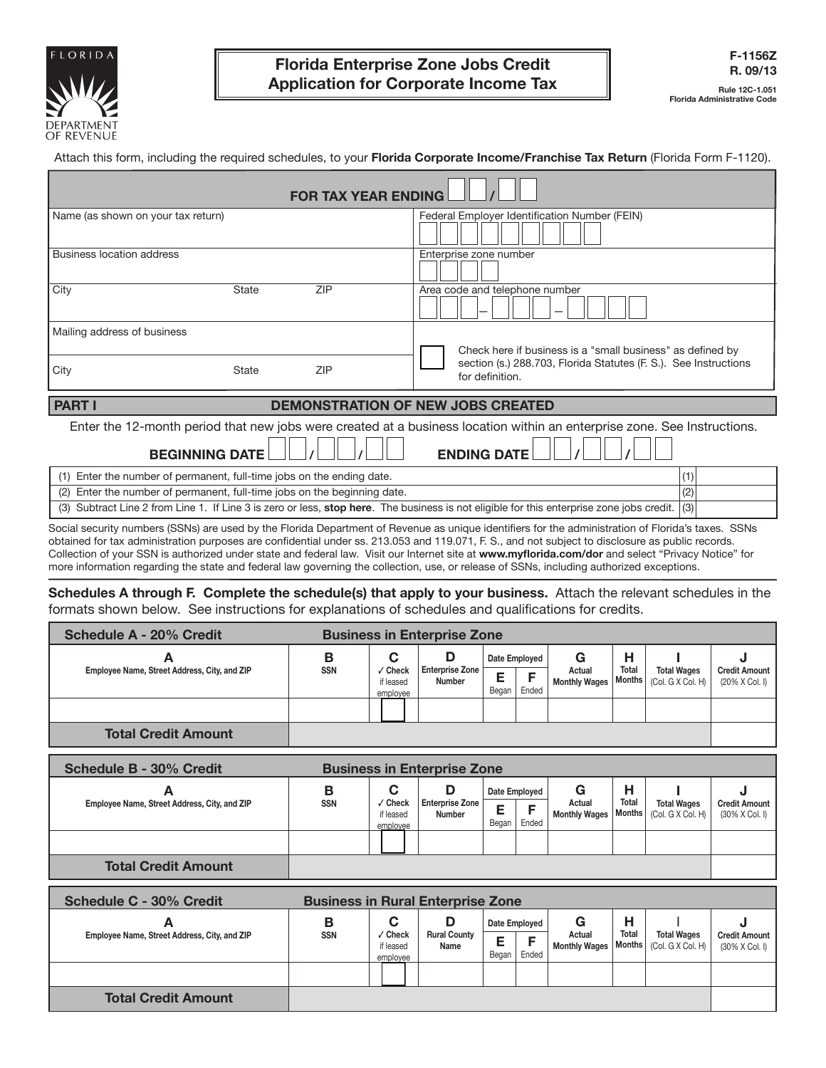

Attach this form, including the required schedules, to your **Florida Corporate Income/Franchise Tax Return** (Florida Form F-1120).

| <b>FOR TAX YEAR ENDING</b>                                                         |                                                                                                                                              |                                                                                                                                                |  |  |  |  |  |  |  |  |
|------------------------------------------------------------------------------------|----------------------------------------------------------------------------------------------------------------------------------------------|------------------------------------------------------------------------------------------------------------------------------------------------|--|--|--|--|--|--|--|--|
| Name (as shown on your tax return)                                                 |                                                                                                                                              | Federal Employer Identification Number (FEIN)                                                                                                  |  |  |  |  |  |  |  |  |
| <b>Business location address</b>                                                   |                                                                                                                                              | Enterprise zone number                                                                                                                         |  |  |  |  |  |  |  |  |
| City                                                                               | ZIP<br>State                                                                                                                                 | Area code and telephone number                                                                                                                 |  |  |  |  |  |  |  |  |
| Mailing address of business                                                        |                                                                                                                                              |                                                                                                                                                |  |  |  |  |  |  |  |  |
|                                                                                    |                                                                                                                                              | Check here if business is a "small business" as defined by                                                                                     |  |  |  |  |  |  |  |  |
| City                                                                               | <b>ZIP</b><br>State                                                                                                                          | section (s.) 288.703, Florida Statutes (F. S.). See Instructions<br>for definition.                                                            |  |  |  |  |  |  |  |  |
| <b>PART I</b>                                                                      |                                                                                                                                              | <b>DEMONSTRATION OF NEW JOBS CREATED</b>                                                                                                       |  |  |  |  |  |  |  |  |
| <b>BEGINNING DATE</b>                                                              |                                                                                                                                              | Enter the 12-month period that new jobs were created at a business location within an enterprise zone. See Instructions.<br><b>ENDING DATE</b> |  |  |  |  |  |  |  |  |
|                                                                                    | Enter the number of permanent, full-time jobs on the ending date.                                                                            | (1)                                                                                                                                            |  |  |  |  |  |  |  |  |
| Enter the number of permanent, full-time jobs on the beginning date.<br>(2)<br>(2) |                                                                                                                                              |                                                                                                                                                |  |  |  |  |  |  |  |  |
| (3)                                                                                | Subtract Line 2 from Line 1. If Line 3 is zero or less, stop here. The business is not eligible for this enterprise zone jobs credit.<br>(3) |                                                                                                                                                |  |  |  |  |  |  |  |  |

Social security numbers (SSNs) are used by the Florida Department of Revenue as unique identifiers for the administration of Florida's taxes. SSNs obtained for tax administration purposes are confidential under ss. 213.053 and 119.071, F. S., and not subject to disclosure as public records. Collection of your SSN is authorized under state and federal law. Visit our Internet site at **www.myflorida.com/dor** and select "Privacy Notice" for more information regarding the state and federal law governing the collection, use, or release of SSNs, including authorized exceptions.

**Schedules A through F. Complete the schedule(s) that apply to your business.** Attach the relevant schedules in the formats shown below. See instructions for explanations of schedules and qualifications for credits.

| Schedule A - 20% Credit                      | <b>Business in Enterprise Zone</b> |                                       |                                  |                             |       |                                     |       |                                                    |                                        |
|----------------------------------------------|------------------------------------|---------------------------------------|----------------------------------|-----------------------------|-------|-------------------------------------|-------|----------------------------------------------------|----------------------------------------|
| Employee Name, Street Address, City, and ZIP | в<br><b>SSN</b>                    | С<br>' Check<br>if leased<br>employee | <b>Enterprise Zone</b><br>Number | Date Employed<br>Е<br>Began | Ended | G<br>Actual<br><b>Monthly Wages</b> | Total | <b>Total Wages</b><br>  Months   (Col. G X Col. H) | <b>Credit Amount</b><br>(20% X Col. I) |
|                                              |                                    |                                       |                                  |                             |       |                                     |       |                                                    |                                        |
| <b>Total Credit Amount</b>                   |                                    |                                       |                                  |                             |       |                                     |       |                                                    |                                        |

| Schedule B - 30% Credit                           | <b>Business in Enterprise Zone</b> |                                       |                                  |                                  |       |                                     |                             |                                         |                                                         |
|---------------------------------------------------|------------------------------------|---------------------------------------|----------------------------------|----------------------------------|-------|-------------------------------------|-----------------------------|-----------------------------------------|---------------------------------------------------------|
| A<br>Employee Name, Street Address, City, and ZIP | В<br><b>SSN</b>                    | C<br>' Check<br>if leased<br>emplovee | <b>Enterprise Zone</b><br>Number | Date Employed<br>E<br>►<br>Began | Ended | G<br>Actual<br><b>Monthly Wages</b> | н<br>Total<br><b>Months</b> | <b>Total Wages</b><br>(Col. G X Col. H) | <b>Credit Amount</b><br>$(30\% \times$ Col. $\parallel$ |
|                                                   |                                    |                                       |                                  |                                  |       |                                     |                             |                                         |                                                         |
| <b>Total Credit Amount</b>                        |                                    |                                       |                                  |                                  |       |                                     |                             |                                         |                                                         |

| Schedule C - 30% Credit                      | <b>Business in Rural Enterprise Zone</b> |                                       |                             |                                      |  |                                     |                        |                                         |                                        |
|----------------------------------------------|------------------------------------------|---------------------------------------|-----------------------------|--------------------------------------|--|-------------------------------------|------------------------|-----------------------------------------|----------------------------------------|
| Employee Name, Street Address, City, and ZIP | в<br><b>SSN</b>                          | С<br>√ Check<br>if leased<br>employee | <b>Rural County</b><br>Name | Date Employed<br>E<br>Ended<br>Began |  | G<br>Actual<br><b>Monthly Wages</b> | <b>Total</b><br>Months | <b>Total Wages</b><br>(Col. G X Col. H) | <b>Credit Amount</b><br>(30% X Col. I) |
|                                              |                                          |                                       |                             |                                      |  |                                     |                        |                                         |                                        |
| <b>Total Credit Amount</b>                   |                                          |                                       |                             |                                      |  |                                     |                        |                                         |                                        |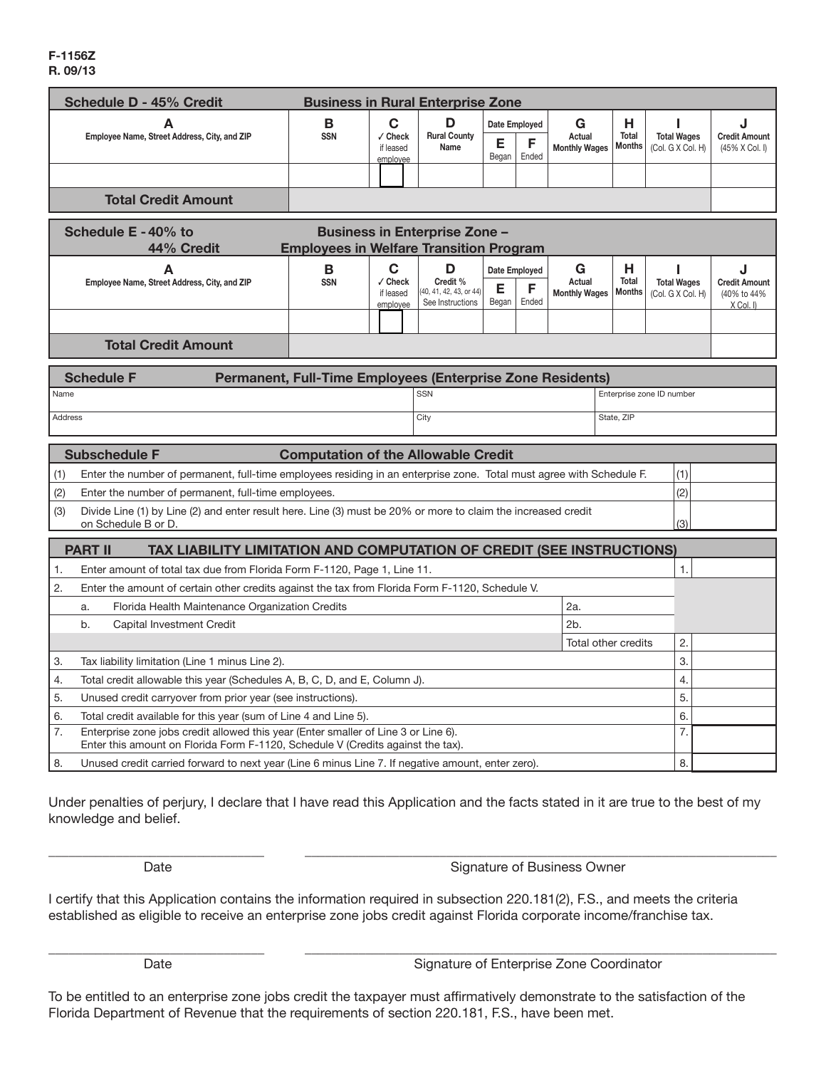#### **F-1156Z R. 09/13**

| <b>Schedule D - 45% Credit</b>                                                                                                                                                    |                                                                                                              |                                                 | <b>Business in Rural Enterprise Zone</b>                     |                             |               |                                     |                               |                                         |                                                         |
|-----------------------------------------------------------------------------------------------------------------------------------------------------------------------------------|--------------------------------------------------------------------------------------------------------------|-------------------------------------------------|--------------------------------------------------------------|-----------------------------|---------------|-------------------------------------|-------------------------------|-----------------------------------------|---------------------------------------------------------|
|                                                                                                                                                                                   | C<br>D<br>B                                                                                                  |                                                 |                                                              |                             | Date Employed | G                                   | н                             |                                         |                                                         |
| Employee Name, Street Address, City, and ZIP                                                                                                                                      | <b>SSN</b>                                                                                                   | √ Check<br>if leased                            | <b>Rural County</b><br>Name                                  | Е<br>Began                  | F<br>Ended    | Actual<br><b>Monthly Wages</b>      | <b>Total</b><br><b>Months</b> | <b>Total Wages</b><br>(Col. G X Col. H) | <b>Credit Amount</b><br>(45% X Col. I)                  |
|                                                                                                                                                                                   |                                                                                                              | employee                                        |                                                              |                             |               |                                     |                               |                                         |                                                         |
|                                                                                                                                                                                   |                                                                                                              |                                                 |                                                              |                             |               |                                     |                               |                                         |                                                         |
|                                                                                                                                                                                   | <b>Total Credit Amount</b>                                                                                   |                                                 |                                                              |                             |               |                                     |                               |                                         |                                                         |
| Schedule E - 40% to<br><b>Business in Enterprise Zone -</b>                                                                                                                       |                                                                                                              |                                                 |                                                              |                             |               |                                     |                               |                                         |                                                         |
| 44% Credit                                                                                                                                                                        | <b>Employees in Welfare Transition Program</b>                                                               |                                                 |                                                              |                             |               |                                     |                               |                                         |                                                         |
| A<br>Employee Name, Street Address, City, and ZIP                                                                                                                                 | $\mathbf B$<br><b>SSN</b>                                                                                    | $\mathbf C$<br>√ Check<br>if leased<br>emplovee | D<br>Credit %<br>(40, 41, 42, 43, or 44)<br>See Instructions | Date Employed<br>Е<br>Began | F<br>Ended    | G<br>Actual<br><b>Monthly Wages</b> | н<br>Total<br><b>Months</b>   | <b>Total Wages</b><br>(Col. G X Col. H) | J<br><b>Credit Amount</b><br>(40% to 44%<br>$X$ Col. I) |
|                                                                                                                                                                                   |                                                                                                              |                                                 |                                                              |                             |               |                                     |                               |                                         |                                                         |
| <b>Total Credit Amount</b>                                                                                                                                                        |                                                                                                              |                                                 |                                                              |                             |               |                                     |                               |                                         |                                                         |
|                                                                                                                                                                                   |                                                                                                              |                                                 |                                                              |                             |               |                                     |                               |                                         |                                                         |
| <b>Schedule F</b><br>Permanent, Full-Time Employees (Enterprise Zone Residents)<br><b>SSN</b><br>Name<br>Enterprise zone ID number                                                |                                                                                                              |                                                 |                                                              |                             |               |                                     |                               |                                         |                                                         |
| <b>Address</b>                                                                                                                                                                    |                                                                                                              |                                                 | City                                                         |                             |               |                                     |                               |                                         |                                                         |
| State, ZIP                                                                                                                                                                        |                                                                                                              |                                                 |                                                              |                             |               |                                     |                               |                                         |                                                         |
| <b>Subschedule F</b>                                                                                                                                                              | <b>Computation of the Allowable Credit</b>                                                                   |                                                 |                                                              |                             |               |                                     |                               |                                         |                                                         |
| Enter the number of permanent, full-time employees residing in an enterprise zone. Total must agree with Schedule F.<br>(1)<br>(1)                                                |                                                                                                              |                                                 |                                                              |                             |               |                                     |                               |                                         |                                                         |
| Enter the number of permanent, full-time employees.<br>(2)                                                                                                                        |                                                                                                              |                                                 |                                                              |                             |               |                                     |                               | (2)                                     |                                                         |
| Divide Line (1) by Line (2) and enter result here. Line (3) must be 20% or more to claim the increased credit<br>(3)<br>on Schedule B or D.                                       |                                                                                                              |                                                 |                                                              |                             |               |                                     |                               | (3)                                     |                                                         |
|                                                                                                                                                                                   |                                                                                                              |                                                 |                                                              |                             |               |                                     |                               |                                         |                                                         |
| <b>PART II</b><br>TAX LIABILITY LIMITATION AND COMPUTATION OF CREDIT (SEE INSTRUCTIONS)                                                                                           |                                                                                                              |                                                 |                                                              |                             |               |                                     |                               |                                         |                                                         |
| Enter amount of total tax due from Florida Form F-1120, Page 1, Line 11.<br>1.                                                                                                    |                                                                                                              |                                                 |                                                              |                             |               |                                     |                               | 1.                                      |                                                         |
| a.                                                                                                                                                                                | 2.<br>Enter the amount of certain other credits against the tax from Florida Form F-1120, Schedule V.<br>2a. |                                                 |                                                              |                             |               |                                     |                               |                                         |                                                         |
| b.<br>Capital Investment Credit                                                                                                                                                   | Florida Health Maintenance Organization Credits<br>2 <sub>b</sub>                                            |                                                 |                                                              |                             |               |                                     |                               |                                         |                                                         |
| Total other credits                                                                                                                                                               |                                                                                                              |                                                 |                                                              |                             |               | 2.                                  |                               |                                         |                                                         |
| 3.<br>Tax liability limitation (Line 1 minus Line 2).                                                                                                                             |                                                                                                              |                                                 |                                                              |                             |               |                                     | 3.                            |                                         |                                                         |
| Total credit allowable this year (Schedules A, B, C, D, and E, Column J).<br>4.                                                                                                   |                                                                                                              |                                                 |                                                              |                             |               |                                     | 4.                            |                                         |                                                         |
| 5.<br>Unused credit carryover from prior year (see instructions).                                                                                                                 |                                                                                                              |                                                 |                                                              |                             |               |                                     | 5.                            |                                         |                                                         |
| 6.<br>Total credit available for this year (sum of Line 4 and Line 5).                                                                                                            |                                                                                                              |                                                 |                                                              |                             |               |                                     | 6.                            |                                         |                                                         |
| 7.<br>Enterprise zone jobs credit allowed this year (Enter smaller of Line 3 or Line 6).<br>7.<br>Enter this amount on Florida Form F-1120, Schedule V (Credits against the tax). |                                                                                                              |                                                 |                                                              |                             |               |                                     |                               |                                         |                                                         |
| 8.<br>Unused credit carried forward to next year (Line 6 minus Line 7. If negative amount, enter zero).<br>8.                                                                     |                                                                                                              |                                                 |                                                              |                             |               |                                     |                               |                                         |                                                         |

Under penalties of perjury, I declare that I have read this Application and the facts stated in it are true to the best of my knowledge and belief.

\_\_\_\_\_\_\_\_\_\_\_\_\_\_\_\_\_\_\_\_\_\_\_\_\_\_\_\_\_\_\_\_ \_\_\_\_\_\_\_\_\_\_\_\_\_\_\_\_\_\_\_\_\_\_\_\_\_\_\_\_\_\_\_\_\_\_\_\_\_\_\_\_\_\_\_\_\_\_\_\_\_\_\_\_\_\_\_\_\_\_\_\_\_\_\_\_\_\_\_\_\_\_

Date **Signature of Business Owner** 

I certify that this Application contains the information required in subsection 220.181(2), F.S., and meets the criteria established as eligible to receive an enterprise zone jobs credit against Florida corporate income/franchise tax.

\_\_\_\_\_\_\_\_\_\_\_\_\_\_\_\_\_\_\_\_\_\_\_\_\_\_\_\_\_\_\_\_ \_\_\_\_\_\_\_\_\_\_\_\_\_\_\_\_\_\_\_\_\_\_\_\_\_\_\_\_\_\_\_\_\_\_\_\_\_\_\_\_\_\_\_\_\_\_\_\_\_\_\_\_\_\_\_\_\_\_\_\_\_\_\_\_\_\_\_\_\_\_ Date **Signature of Enterprise Zone Coordinator** Signature of Enterprise Zone Coordinator

To be entitled to an enterprise zone jobs credit the taxpayer must affirmatively demonstrate to the satisfaction of the Florida Department of Revenue that the requirements of section 220.181, F.S., have been met.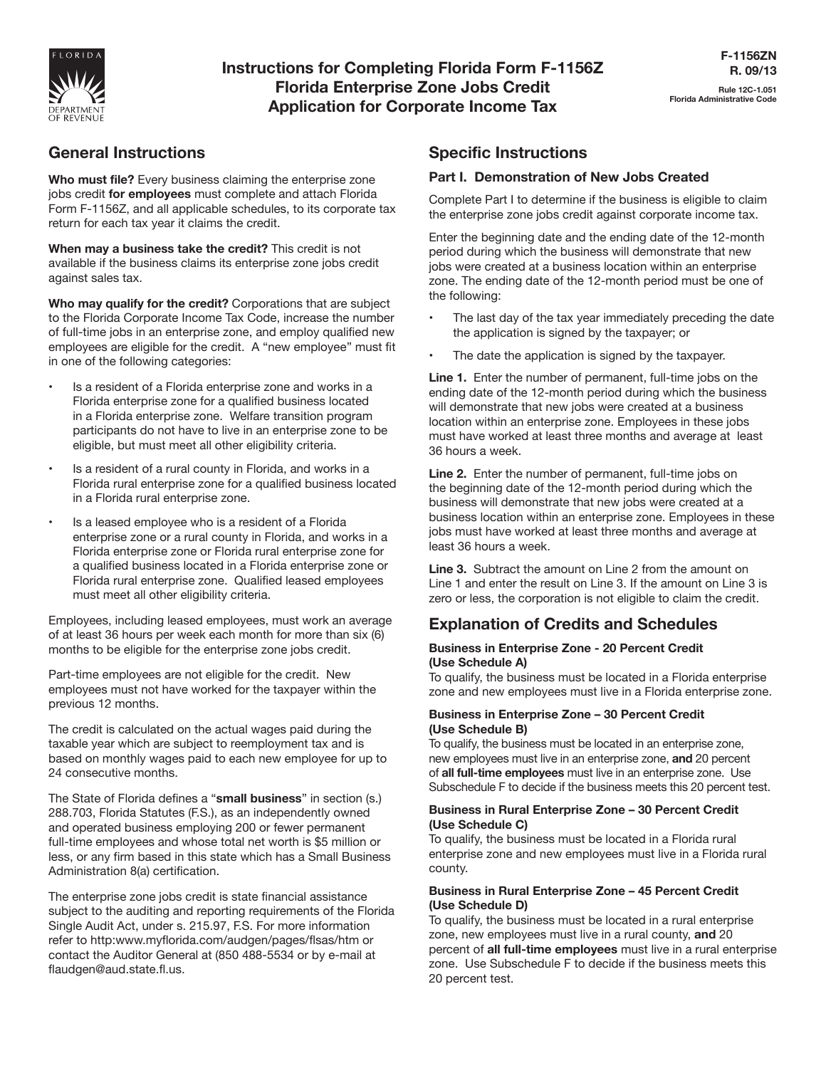

# **Instructions for Completing Florida Form F-1156Z Florida Enterprise Zone Jobs Credit Application for Corporate Income Tax**

## **General Instructions**

**Who must file?** Every business claiming the enterprise zone jobs credit **for employees** must complete and attach Florida Form F-1156Z, and all applicable schedules, to its corporate tax return for each tax year it claims the credit.

**When may a business take the credit?** This credit is not available if the business claims its enterprise zone jobs credit against sales tax.

**Who may qualify for the credit?** Corporations that are subject to the Florida Corporate Income Tax Code, increase the number of full-time jobs in an enterprise zone, and employ qualified new employees are eligible for the credit. A "new employee" must fit in one of the following categories:

- Is a resident of a Florida enterprise zone and works in a Florida enterprise zone for a qualified business located in a Florida enterprise zone. Welfare transition program participants do not have to live in an enterprise zone to be eligible, but must meet all other eligibility criteria.
- Is a resident of a rural county in Florida, and works in a Florida rural enterprise zone for a qualified business located in a Florida rural enterprise zone.
- Is a leased employee who is a resident of a Florida enterprise zone or a rural county in Florida, and works in a Florida enterprise zone or Florida rural enterprise zone for a qualified business located in a Florida enterprise zone or Florida rural enterprise zone. Qualified leased employees must meet all other eligibility criteria.

Employees, including leased employees, must work an average of at least 36 hours per week each month for more than six (6) months to be eligible for the enterprise zone jobs credit.

Part-time employees are not eligible for the credit. New employees must not have worked for the taxpayer within the previous 12 months.

The credit is calculated on the actual wages paid during the taxable year which are subject to reemployment tax and is based on monthly wages paid to each new employee for up to 24 consecutive months.

The State of Florida defines a "**small business**" in section (s.) 288.703, Florida Statutes (F.S.), as an independently owned and operated business employing 200 or fewer permanent full-time employees and whose total net worth is \$5 million or less, or any firm based in this state which has a Small Business Administration 8(a) certification.

The enterprise zone jobs credit is state financial assistance subject to the auditing and reporting requirements of the Florida Single Audit Act, under s. 215.97, F.S. For more information refer to http:www.myflorida.com/audgen/pages/flsas/htm or contact the Auditor General at (850 488-5534 or by e-mail at flaudgen@aud.state.fl.us.

## **Specific Instructions**

### **Part I. Demonstration of New Jobs Created**

Complete Part I to determine if the business is eligible to claim the enterprise zone jobs credit against corporate income tax.

Enter the beginning date and the ending date of the 12-month period during which the business will demonstrate that new jobs were created at a business location within an enterprise zone. The ending date of the 12-month period must be one of the following:

- The last day of the tax year immediately preceding the date the application is signed by the taxpayer; or
- The date the application is signed by the taxpayer.

**Line 1.** Enter the number of permanent, full-time jobs on the ending date of the 12-month period during which the business will demonstrate that new jobs were created at a business location within an enterprise zone. Employees in these jobs must have worked at least three months and average at least 36 hours a week.

**Line 2.** Enter the number of permanent, full-time jobs on the beginning date of the 12-month period during which the business will demonstrate that new jobs were created at a business location within an enterprise zone. Employees in these jobs must have worked at least three months and average at least 36 hours a week.

**Line 3.** Subtract the amount on Line 2 from the amount on Line 1 and enter the result on Line 3. If the amount on Line 3 is zero or less, the corporation is not eligible to claim the credit.

## **Explanation of Credits and Schedules**

#### **Business in Enterprise Zone - 20 Percent Credit (Use Schedule A)**

To qualify, the business must be located in a Florida enterprise zone and new employees must live in a Florida enterprise zone.

#### **Business in Enterprise Zone – 30 Percent Credit (Use Schedule B)**

To qualify, the business must be located in an enterprise zone, new employees must live in an enterprise zone, **and** 20 percent of **all full-time employees** must live in an enterprise zone. Use Subschedule F to decide if the business meets this 20 percent test.

#### **Business in Rural Enterprise Zone – 30 Percent Credit (Use Schedule C)**

To qualify, the business must be located in a Florida rural enterprise zone and new employees must live in a Florida rural county.

#### **Business in Rural Enterprise Zone – 45 Percent Credit (Use Schedule D)**

To qualify, the business must be located in a rural enterprise zone, new employees must live in a rural county, **and** 20 percent of **all full-time employees** must live in a rural enterprise zone. Use Subschedule F to decide if the business meets this 20 percent test.